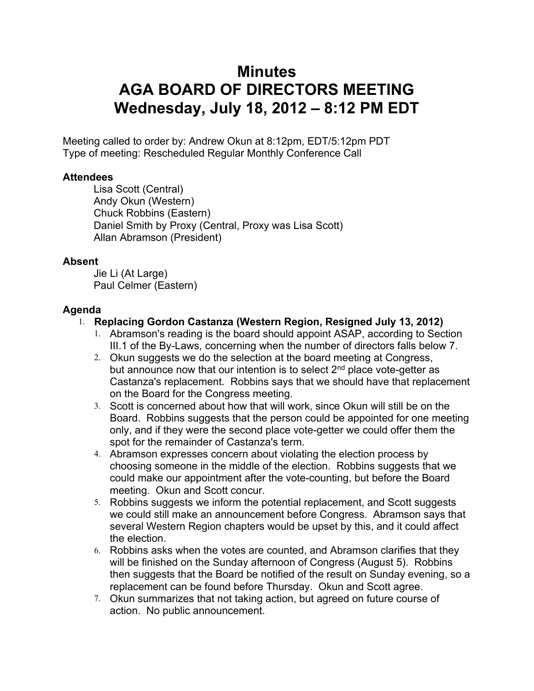# **Minutes AGA BOARD OF DIRECTORS MEETING Wednesday, July 18, 2012 – 8:12 PM EDT**

Meeting called to order by: Andrew Okun at 8:12pm, EDT/5:12pm PDT Type of meeting: Rescheduled Regular Monthly Conference Call

#### **Attendees**

Lisa Scott (Central) Andy Okun (Western) Chuck Robbins (Eastern) Daniel Smith by Proxy (Central, Proxy was Lisa Scott) Allan Abramson (President)

#### **Absent**

Jie Li (At Large) Paul Celmer (Eastern)

## **Agenda**

## 1. **Replacing Gordon Castanza (Western Region, Resigned July 13, 2012)**

- 1. Abramson's reading is the board should appoint ASAP, according to Section III.1 of the By-Laws, concerning when the number of directors falls below 7.
- 2. Okun suggests we do the selection at the board meeting at Congress, but announce now that our intention is to select 2<sup>nd</sup> place vote-getter as Castanza's replacement. Robbins says that we should have that replacement on the Board for the Congress meeting.
- 3. Scott is concerned about how that will work, since Okun will still be on the Board. Robbins suggests that the person could be appointed for one meeting only, and if they were the second place vote-getter we could offer them the spot for the remainder of Castanza's term.
- 4. Abramson expresses concern about violating the election process by choosing someone in the middle of the election. Robbins suggests that we could make our appointment after the vote-counting, but before the Board meeting. Okun and Scott concur.
- 5. Robbins suggests we inform the potential replacement, and Scott suggests we could still make an announcement before Congress. Abramson says that several Western Region chapters would be upset by this, and it could affect the election.
- 6. Robbins asks when the votes are counted, and Abramson clarifies that they will be finished on the Sunday afternoon of Congress (August 5). Robbins then suggests that the Board be notified of the result on Sunday evening, so a replacement can be found before Thursday. Okun and Scott agree.
- 7. Okun summarizes that not taking action, but agreed on future course of action. No public announcement.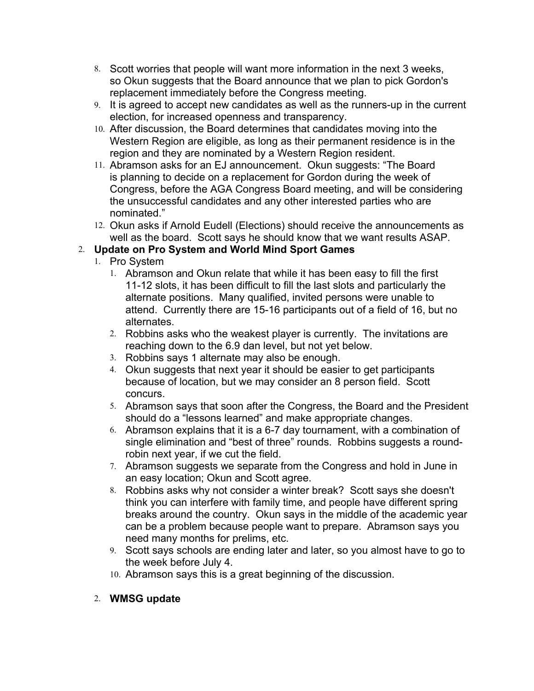- 8. Scott worries that people will want more information in the next 3 weeks, so Okun suggests that the Board announce that we plan to pick Gordon's replacement immediately before the Congress meeting.
- 9. It is agreed to accept new candidates as well as the runners-up in the current election, for increased openness and transparency.
- 10. After discussion, the Board determines that candidates moving into the Western Region are eligible, as long as their permanent residence is in the region and they are nominated by a Western Region resident.
- 11. Abramson asks for an EJ announcement. Okun suggests: "The Board is planning to decide on a replacement for Gordon during the week of Congress, before the AGA Congress Board meeting, and will be considering the unsuccessful candidates and any other interested parties who are nominated."
- 12. Okun asks if Arnold Eudell (Elections) should receive the announcements as well as the board. Scott says he should know that we want results ASAP.

## 2. **Update on Pro System and World Mind Sport Games**

- 1. Pro System
	- 1. Abramson and Okun relate that while it has been easy to fill the first 11-12 slots, it has been difficult to fill the last slots and particularly the alternate positions. Many qualified, invited persons were unable to attend. Currently there are 15-16 participants out of a field of 16, but no alternates.
	- 2. Robbins asks who the weakest player is currently. The invitations are reaching down to the 6.9 dan level, but not yet below.
	- 3. Robbins says 1 alternate may also be enough.
	- 4. Okun suggests that next year it should be easier to get participants because of location, but we may consider an 8 person field. Scott concurs.
	- 5. Abramson says that soon after the Congress, the Board and the President should do a "lessons learned" and make appropriate changes.
	- 6. Abramson explains that it is a 6-7 day tournament, with a combination of single elimination and "best of three" rounds. Robbins suggests a roundrobin next year, if we cut the field.
	- 7. Abramson suggests we separate from the Congress and hold in June in an easy location; Okun and Scott agree.
	- 8. Robbins asks why not consider a winter break? Scott says she doesn't think you can interfere with family time, and people have different spring breaks around the country. Okun says in the middle of the academic year can be a problem because people want to prepare. Abramson says you need many months for prelims, etc.
	- 9. Scott says schools are ending later and later, so you almost have to go to the week before July 4.
	- 10. Abramson says this is a great beginning of the discussion.
- 2. **WMSG update**